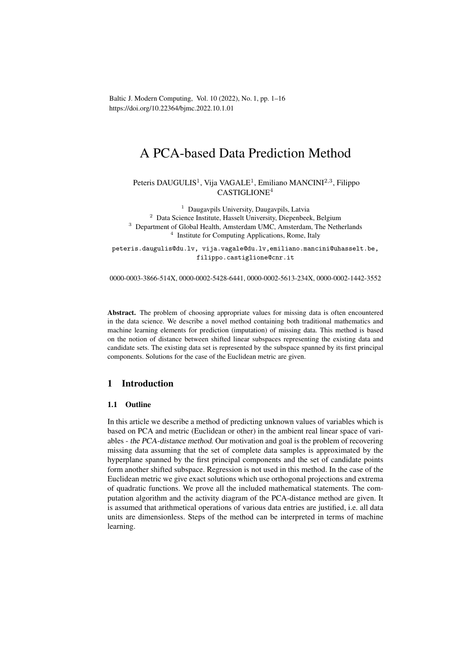Baltic J. Modern Computing, Vol. 10 (2022), No. 1, pp. 1–16 https://doi.org/10.22364/bjmc.2022.10.1.01

# A PCA-based Data Prediction Method

Peteris DAUGULIS<sup>1</sup>, Vija VAGALE<sup>1</sup>, Emiliano MANCINI<sup>2,3</sup>, Filippo CASTIGLIONE<sup>4</sup>

 Daugavpils University, Daugavpils, Latvia Data Science Institute, Hasselt University, Diepenbeek, Belgium <sup>3</sup> Department of Global Health, Amsterdam UMC, Amsterdam, The Netherlands Institute for Computing Applications, Rome, Italy

peteris.daugulis@du.lv, vija.vagale@du.lv,emiliano.mancini@uhasselt.be, filippo.castiglione@cnr.it

0000-0003-3866-514X, 0000-0002-5428-6441, 0000-0002-5613-234X, 0000-0002-1442-3552

Abstract. The problem of choosing appropriate values for missing data is often encountered in the data science. We describe a novel method containing both traditional mathematics and machine learning elements for prediction (imputation) of missing data. This method is based on the notion of distance between shifted linear subspaces representing the existing data and candidate sets. The existing data set is represented by the subspace spanned by its first principal components. Solutions for the case of the Euclidean metric are given.

# 1 Introduction

## 1.1 Outline

In this article we describe a method of predicting unknown values of variables which is based on PCA and metric (Euclidean or other) in the ambient real linear space of variables - the PCA-distance method. Our motivation and goal is the problem of recovering missing data assuming that the set of complete data samples is approximated by the hyperplane spanned by the first principal components and the set of candidate points form another shifted subspace. Regression is not used in this method. In the case of the Euclidean metric we give exact solutions which use orthogonal projections and extrema of quadratic functions. We prove all the included mathematical statements. The computation algorithm and the activity diagram of the PCA-distance method are given. It is assumed that arithmetical operations of various data entries are justified, i.e. all data units are dimensionless. Steps of the method can be interpreted in terms of machine learning.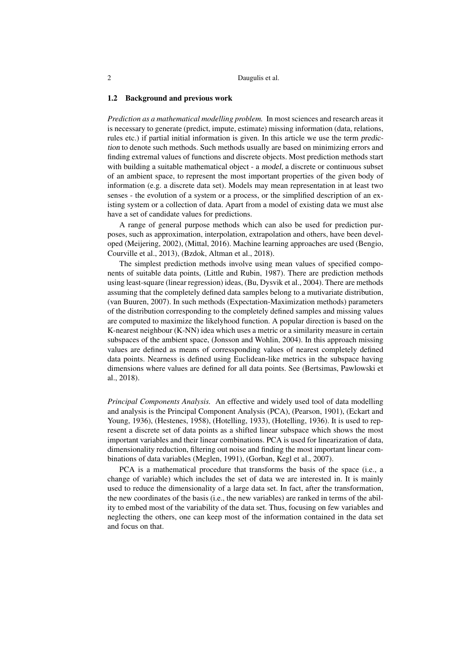#### 1.2 Background and previous work

*Prediction as a mathematical modelling problem.* In most sciences and research areas it is necessary to generate (predict, impute, estimate) missing information (data, relations, rules etc.) if partial initial information is given. In this article we use the term prediction to denote such methods. Such methods usually are based on minimizing errors and finding extremal values of functions and discrete objects. Most prediction methods start with building a suitable mathematical object - a model, a discrete or continuous subset of an ambient space, to represent the most important properties of the given body of information (e.g. a discrete data set). Models may mean representation in at least two senses - the evolution of a system or a process, or the simplified description of an existing system or a collection of data. Apart from a model of existing data we must alse have a set of candidate values for predictions.

A range of general purpose methods which can also be used for prediction purposes, such as approximation, interpolation, extrapolation and others, have been developed (Meijering, 2002), (Mittal, 2016). Machine learning approaches are used (Bengio, Courville et al., 2013), (Bzdok, Altman et al., 2018).

The simplest prediction methods involve using mean values of specified components of suitable data points, (Little and Rubin, 1987). There are prediction methods using least-square (linear regression) ideas, (Bu, Dysvik et al., 2004). There are methods assuming that the completely defined data samples belong to a mutivariate distribution, (van Buuren, 2007). In such methods (Expectation-Maximization methods) parameters of the distribution corresponding to the completely defined samples and missing values are computed to maximize the likelyhood function. A popular direction is based on the K-nearest neighbour (K-NN) idea which uses a metric or a similarity measure in certain subspaces of the ambient space, (Jonsson and Wohlin, 2004). In this approach missing values are defined as means of corressponding values of nearest completely defined data points. Nearness is defined using Euclidean-like metrics in the subspace having dimensions where values are defined for all data points. See (Bertsimas, Pawlowski et al., 2018).

*Principal Components Analysis.* An effective and widely used tool of data modelling and analysis is the Principal Component Analysis (PCA), (Pearson, 1901), (Eckart and Young, 1936), (Hestenes, 1958), (Hotelling, 1933), (Hotelling, 1936). It is used to represent a discrete set of data points as a shifted linear subspace which shows the most important variables and their linear combinations. PCA is used for linearization of data, dimensionality reduction, filtering out noise and finding the most important linear combinations of data variables (Meglen, 1991), (Gorban, Kegl et al., 2007).

PCA is a mathematical procedure that transforms the basis of the space (i.e., a change of variable) which includes the set of data we are interested in. It is mainly used to reduce the dimensionality of a large data set. In fact, after the transformation, the new coordinates of the basis (i.e., the new variables) are ranked in terms of the ability to embed most of the variability of the data set. Thus, focusing on few variables and neglecting the others, one can keep most of the information contained in the data set and focus on that.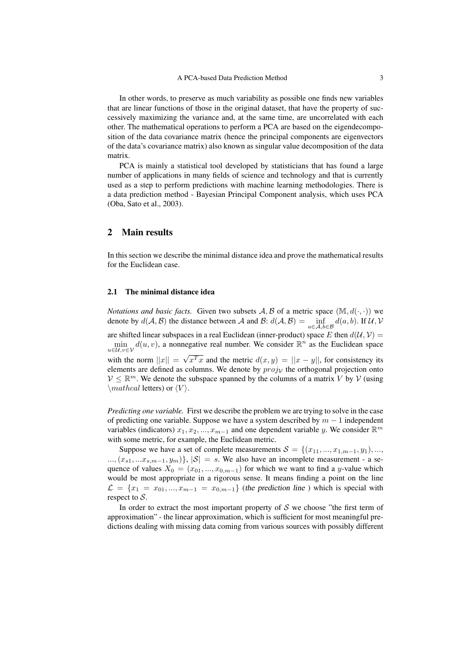In other words, to preserve as much variability as possible one finds new variables that are linear functions of those in the original dataset, that have the property of successively maximizing the variance and, at the same time, are uncorrelated with each other. The mathematical operations to perform a PCA are based on the eigendecomposition of the data covariance matrix (hence the principal components are eigenvectors of the data's covariance matrix) also known as singular value decomposition of the data matrix.

PCA is mainly a statistical tool developed by statisticians that has found a large number of applications in many fields of science and technology and that is currently used as a step to perform predictions with machine learning methodologies. There is a data prediction method - Bayesian Principal Component analysis, which uses PCA (Oba, Sato et al., 2003).

# 2 Main results

In this section we describe the minimal distance idea and prove the mathematical results for the Euclidean case.

#### 2.1 The minimal distance idea

*Notations and basic facts.* Given two subsets  $A, B$  of a metric space  $(\mathbb{M}, d(\cdot, \cdot))$  we denote by  $d(A, B)$  the distance between A and B:  $d(A, B) = \inf_{a \in A, b \in B} d(a, b)$ . If  $\mathcal{U}, \mathcal{V}$ are shifted linear subspaces in a real Euclidean (inner-product) space E then  $d(U, V) =$  $\min_{u \in \mathcal{U}, v \in \mathcal{V}} d(u, v)$ , a nonnegative real number. We consider  $\mathbb{R}^n$  as the Euclidean space with the norm  $||x|| = \sqrt{x^T x}$  and the metric  $d(x, y) = ||x - y||$ , for consistency its √ elements are defined as columns. We denote by  $proj_{\mathcal{V}}$  the orthogonal projection onto  $V \leq \mathbb{R}^m$ . We denote the subspace spanned by the columns of a matrix V by V (using \mathcal letters) or  $\langle V \rangle$ .

*Predicting one variable.* First we describe the problem we are trying to solve in the case of predicting one variable. Suppose we have a system described by  $m - 1$  independent variables (indicators)  $x_1, x_2, ..., x_{m-1}$  and one dependent variable y. We consider  $\mathbb{R}^m$ with some metric, for example, the Euclidean metric.

Suppose we have a set of complete measurements  $S = \{(x_{11},...,x_{1,m-1},y_1),...,$  $..., (x_{s1},...x_{s,m-1}, y_m)$ ,  $|S| = s$ . We also have an incomplete measurement - a sequence of values  $X_0 = (x_{01}, ..., x_{0,m-1})$  for which we want to find a y-value which would be most appropriate in a rigorous sense. It means finding a point on the line  $\mathcal{L} = \{x_1 = x_{01}, ..., x_{m-1} = x_{0,m-1}\}$  (the prediction line) which is special with respect to  $S$ .

In order to extract the most important property of  $S$  we choose "the first term of approximation" - the linear approximation, which is sufficient for most meaningful predictions dealing with missing data coming from various sources with possibly different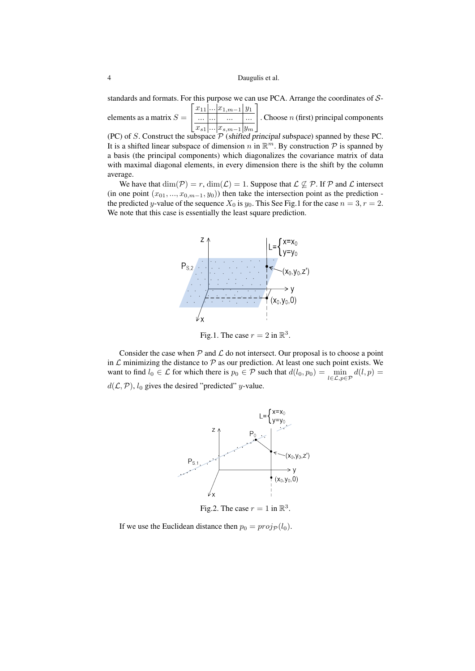standards and formats. For this purpose we can use PCA. Arrange the coordinates of S- $\lceil$ 1

elements as a matrix  $S =$  $\overline{\phantom{a}}$  $\frac{x_{11} \dots x_{1,m-1} y_1}{\dots \dots \dots}$  $\overline{\phantom{a}}$ ...  $\overline{x_{s1} \dots x_{s,m-1}}$  y<sub>m</sub> . Choose  $n$  (first) principal components

(PC) of  $S$ . Construct the subspace  $P$  (shifted principal subspace) spanned by these PC. It is a shifted linear subspace of dimension n in  $\mathbb{R}^m$ . By construction P is spanned by a basis (the principal components) which diagonalizes the covariance matrix of data with maximal diagonal elements, in every dimension there is the shift by the column average.

We have that  $\dim(\mathcal{P}) = r$ ,  $\dim(\mathcal{L}) = 1$ . Suppose that  $\mathcal{L} \not\subseteq \mathcal{P}$ . If  $\mathcal P$  and  $\mathcal L$  intersect (in one point  $(x_{01},...,x_{0,m-1},y_0)$ ) then take the intersection point as the prediction the predicted y-value of the sequence  $X_0$  is  $y_0$ . This See Fig.1 for the case  $n = 3, r = 2$ . We note that this case is essentially the least square prediction.



Fig.1. The case  $r = 2$  in  $\mathbb{R}^3$ .

Consider the case when  $P$  and  $\mathcal L$  do not intersect. Our proposal is to choose a point in  $\mathcal L$  minimizing the distance to  $\mathcal P$  as our prediction. At least one such point exists. We want to find  $l_0 \in \mathcal{L}$  for which there is  $p_0 \in \mathcal{P}$  such that  $d(l_0, p_0) = \min_{l \in \mathcal{L}, p \in \mathcal{P}} d(l, p) =$  $d(\mathcal{L}, \mathcal{P})$ ,  $l_0$  gives the desired "predicted" y-value.



Fig.2. The case  $r = 1$  in  $\mathbb{R}^3$ .

If we use the Euclidean distance then  $p_0 = proj_{\mathcal{P}}(l_0)$ .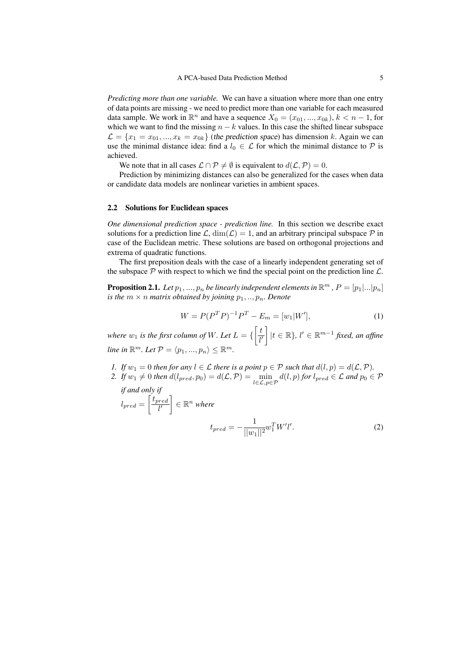*Predicting more than one variable.* We can have a situation where more than one entry of data points are missing - we need to predict more than one variable for each measured data sample. We work in  $\mathbb{R}^n$  and have a sequence  $X_0 = (x_{01},...,x_{0k})$ ,  $k < n - 1$ , for which we want to find the missing  $n - k$  values. In this case the shifted linear subspace  $\mathcal{L} = \{x_1 = x_{01}, ..., x_k = x_{0k}\}\$  (the prediction space) has dimension k. Again we can use the minimal distance idea: find a  $l_0 \in \mathcal{L}$  for which the minimal distance to  $\mathcal{P}$  is achieved.

We note that in all cases  $\mathcal{L} \cap \mathcal{P} \neq \emptyset$  is equivalent to  $d(\mathcal{L}, \mathcal{P}) = 0$ .

Prediction by minimizing distances can also be generalized for the cases when data or candidate data models are nonlinear varieties in ambient spaces.

#### 2.2 Solutions for Euclidean spaces

*One dimensional prediction space - prediction line.* In this section we describe exact solutions for a prediction line  $\mathcal{L}$ ,  $\dim(\mathcal{L}) = 1$ , and an arbitrary principal subspace  $\mathcal{P}$  in case of the Euclidean metric. These solutions are based on orthogonal projections and extrema of quadratic functions.

The first preposition deals with the case of a linearly independent generating set of the subspace  $P$  with respect to which we find the special point on the prediction line  $\mathcal{L}$ .

**Proposition 2.1.** Let  $p_1, ..., p_n$  be linearly independent elements in  $\mathbb{R}^m$  ,  $P = [p_1 | ... | p_n]$ *is the*  $m \times n$  *matrix obtained by joining*  $p_1, \ldots, p_n$ *. Denote* 

$$
W = P(P^T P)^{-1} P^T - E_m = [w_1|W'], \tag{1}
$$

*where*  $w_1$  *is the first column of W. Let*  $L = \{ \left[ \frac{t}{l'} \right]$  $\overline{l'}$  $\left[$   $\vert t \in \mathbb{R} \right\}$ ,  $l' \in \mathbb{R}^{m-1}$  *fixed, an affine*  $\textit{line in } \mathbb{R}^m$ . Let  $\mathcal{P} = \langle p_1, ..., p_n \rangle \leq \mathbb{R}^m$ .

- *1. If*  $w_1 = 0$  *then for any*  $l \in \mathcal{L}$  *there is a point*  $p \in \mathcal{P}$  *such that*  $d(l, p) = d(\mathcal{L}, \mathcal{P})$ *.*
- 2. *If*  $w_1 \neq 0$  *then*  $d(l_{pred}, p_0) = d(\mathcal{L}, \mathcal{P}) = \min_{l \in \mathcal{L}, p \in \mathcal{P}} d(l, p)$  *for*  $l_{pred} \in \mathcal{L}$  *and*  $p_0 \in \mathcal{P}$ *if and only if*

$$
l_{pred} = \left[\frac{t_{pred}}{l'}\right] \in \mathbb{R}^n \text{ where}
$$

$$
t_{pred} = -\frac{1}{||w_1||^2} w_1^T W'l'. \tag{2}
$$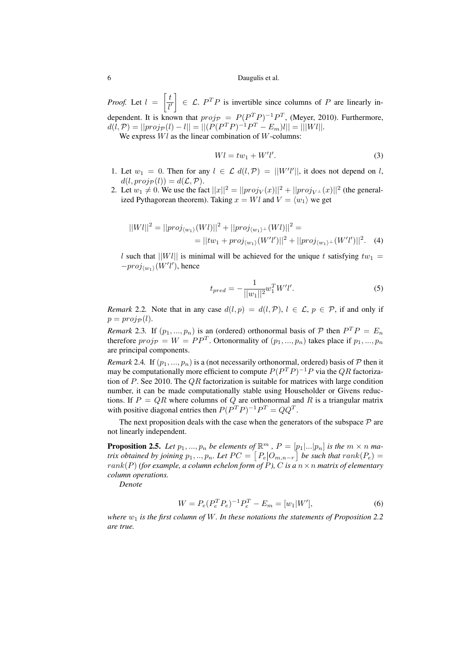*Proof.* Let  $l = \left[\frac{t}{l}\right]$  $\overline{l'}$  $\Big[ \Big] \in \mathcal{L}$ .  $P^T P$  is invertible since columns of P are linearly independent. It is known that  $proj_{\mathcal{P}} = P(P^T P)^{-1} P^T$ , (Meyer, 2010). Furthermore,  $d(l, \mathcal{P}) = ||proj_{\mathcal{P}}(l) - l|| = ||(P(P^T P)^{-1} P^T - E_m)l|| = |||Wl||.$ 

We express  $Wl$  as the linear combination of  $W$ -columns:

$$
Wl = tw_1 + W'l'.\tag{3}
$$

- 1. Let  $w_1 = 0$ . Then for any  $l \in \mathcal{L}$   $d(l, \mathcal{P}) = ||W'l'||$ , it does not depend on l,  $d(l, \text{proj}_{\mathcal{P}}(l)) = d(\mathcal{L}, \mathcal{P}).$
- 2. Let  $w_1 \neq 0$ . We use the fact  $||x||^2 = ||proj_V(x)||^2 + ||proj_{V^{\perp}}(x)||^2$  (the generalized Pythagorean theorem). Taking  $x = Wl$  and  $V = \langle w_1 \rangle$  we get

$$
||Wl||^2 = ||proj_{\langle w_1 \rangle}(Wl)||^2 + ||proj_{\langle w_1 \rangle} (Wl)||^2 =
$$
  
= 
$$
||tw_1 + proj_{\langle w_1 \rangle}(W'l')||^2 + ||proj_{\langle w_1 \rangle} (W'l')||^2.
$$
 (4)

l such that  $||W||$  is minimal will be achieved for the unique t satisfying  $tw_1 =$  $-proj_{\langle w_1 \rangle}(W'l')$ , hence

$$
t_{pred} = -\frac{1}{||w_1||^2} w_1^T W' l'. \tag{5}
$$

*Remark* 2.2. Note that in any case  $d(l, p) = d(l, \mathcal{P})$ ,  $l \in \mathcal{L}$ ,  $p \in \mathcal{P}$ , if and only if  $p = proj_{\mathcal{D}}(l).$ 

*Remark* 2.3. If  $(p_1, ..., p_n)$  is an (ordered) orthonormal basis of  $P$  then  $P^T P = E_n$ therefore  $proj_{\mathcal{P}} = W = PP^T$ . Ortonormality of  $(p_1, ..., p_n)$  takes place if  $p_1, ..., p_n$ are principal components.

*Remark* 2.4. If  $(p_1, ..., p_n)$  is a (not necessarily orthonormal, ordered) basis of  $P$  then it may be computationally more efficient to compute  $P(P^T P)^{-1}P$  via the QR factorization of  $P$ . See 2010. The  $QR$  factorization is suitable for matrices with large condition number, it can be made computationally stable using Householder or Givens reductions. If  $P = QR$  where columns of Q are orthonormal and R is a triangular matrix with positive diagonal entries then  $P(P^T P)^{-1} P^T = Q Q^T$ .

The next proposition deals with the case when the generators of the subspace  $P$  are not linearly independent.

**Proposition 2.5.** Let  $p_1, ..., p_n$  be elements of  $\mathbb{R}^m$  ,  $P = [p_1 | ... | p_n]$  is the  $m \times n$  ma*trix obtained by joining*  $p_1,..,p_n$ . Let  $PC = \lceil P_e|O_{m,n-r} \rceil$  be such that  $rank(P_e) =$  $rank(P)$  *(for example, a column echelon form of P), C is a n*  $\times$  *n matrix of elementary column operations.*

*Denote*

$$
W = P_e (P_e^T P_e)^{-1} P_e^T - E_m = [w_1 | W'], \tag{6}
$$

*where*  $w_1$  *is the first column of W. In these notations the statements of Proposition 2.2 are true.*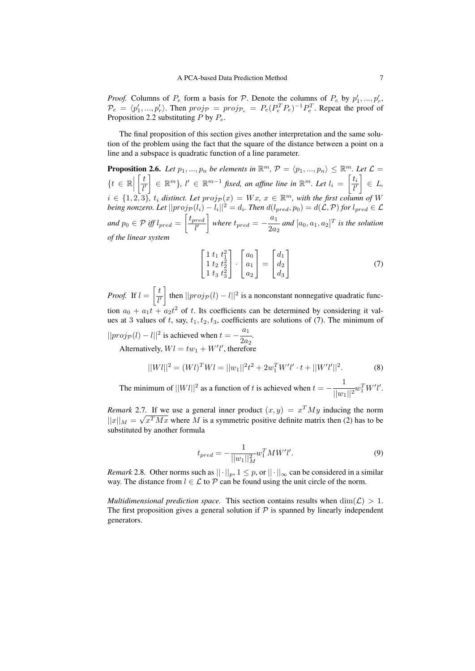*Proof.* Columns of  $P_e$  form a basis for  $P$ . Denote the columns of  $P_e$  by  $p'_1, ..., p'_r$ ,  $\mathcal{P}_e = \langle p'_1, ..., p'_r \rangle$ . Then  $proj_{\mathcal{P}} = proj_{\mathcal{P}_e} = P_e(P_e^T P_e)^{-1} P_e^T$ . Repeat the proof of Proposition 2.2 substituting  $P$  by  $P_e$ .

The final proposition of this section gives another interpretation and the same solution of the problem using the fact that the square of the distance between a point on a line and a subspace is quadratic function of a line parameter.

**Proposition 2.6.** Let  $p_1, ..., p_n$  be elements in  $\mathbb{R}^m$ ,  $\mathcal{P} = \langle p_1, ..., p_n \rangle \leq \mathbb{R}^m$ . Let  $\mathcal{L} =$  $\{t \in \mathbb{R} \Big|$  $\lceil t \rceil$  $l'$  $\left[\begin{array}{ccc} \in & \mathbb{R}^m \end{array}\right], l' \in \mathbb{R}^{m-1}$  fixed, an affine line in  $\mathbb{R}^m$ . Let  $l_i = \begin{bmatrix} t_i & \mathbf{0} \\ \mathbf{0} & \mathbf{0} \end{bmatrix}$  $l'$  ∈ L*,*  $i \in \{1, 2, 3\}$ ,  $t_i$  distinct. Let  $proj_{\mathcal{P}}(x) = Wx$ ,  $x \in \mathbb{R}^m$ , with the first column of W *being nonzero. Let*  $||proj_{\mathcal{P}}(l_i) - l_i||^2 = d_i$ . Then  $d(l_{pred}, p_0) = d(\mathcal{L}, \mathcal{P})$  for  $l_{pred} \in \mathcal{L}$ *and*  $p_0 \in \mathcal{P}$  *iff*  $l_{pred} = \left\lceil \frac{t_{pred}}{l'} \right\rceil$  $\overline{l'}$ *where*  $t_{pred} = -\frac{a_1}{2a}$  $\frac{a_1}{2a_2}$  and  $[a_0, a_1, a_2]^T$  is the solution *of the linear system*

$$
\begin{bmatrix} 1 & t_1 & t_1^2 \\ 1 & t_2 & t_2^2 \\ 1 & t_3 & t_3^2 \end{bmatrix} \cdot \begin{bmatrix} a_0 \\ a_1 \\ a_2 \end{bmatrix} = \begin{bmatrix} d_1 \\ d_2 \\ d_3 \end{bmatrix}
$$
 (7)

*Proof.* If  $l = \left\lceil \frac{t}{l} \right\rceil$  $\overline{l'}$  $\int$  then  $||proj_{\mathcal{P}}(l) - l||^2$  is a nonconstant nonnegative quadratic function  $a_0 + a_1 t + a_2 t^2$  of t. Its coefficients can be determined by considering it values at 3 values of t, say,  $t_1, t_2, t_3$ , coefficients are solutions of (7). The minimum of  $||proj_{\mathcal{P}}(l) - l||^2$  is achieved when  $t = -\frac{a_1}{2a}$  $\frac{1}{2a_2}$ .

Alternatively,  $Wl = tw_1 + W'l'$ , therefore

$$
||Wl||^2 = (Wl)^T Wl = ||w_1||^2 t^2 + 2w_1^T W'l' \cdot t + ||W'l'||^2.
$$
 (8)

The minimum of  $||Wl||^2$  as a function of t is achieved when  $t = -\frac{1}{1+\epsilon}$  $\frac{1}{||w_1||^2} w_1^T W' l'.$ 

*Remark* 2.7. If we use a general inner product  $(x, y) = x^T M y$  inducing the norm  $||x||_M = \sqrt{x^T M x}$  where M is a symmetric positive definite matrix then (2) has to be substituted by another formula

$$
t_{pred} = -\frac{1}{||w_1||_M^2} w_1^T M W' l'. \tag{9}
$$

*Remark* 2.8. Other norms such as  $|| \cdot ||_p$ ,  $1 \leq p$ , or  $|| \cdot ||_{\infty}$  can be considered in a similar way. The distance from  $l \in \mathcal{L}$  to  $\mathcal{P}$  can be found using the unit circle of the norm.

*Multidimensional prediction space.* This section contains results when  $\dim(\mathcal{L}) > 1$ . The first proposition gives a general solution if  $P$  is spanned by linearly independent generators.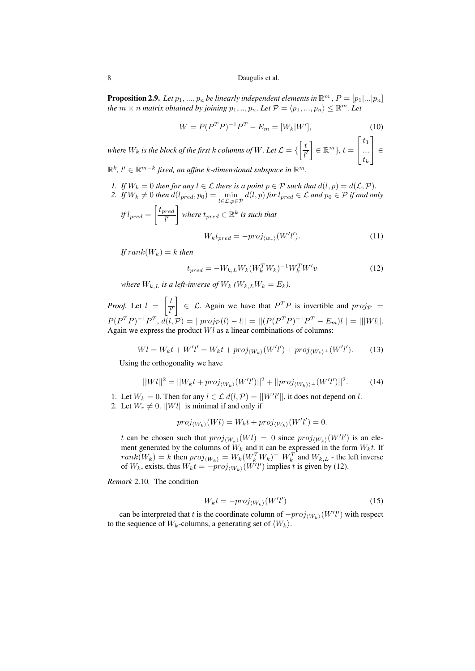**Proposition 2.9.** Let  $p_1, ..., p_n$  be linearly independent elements in  $\mathbb{R}^m$  ,  $P = [p_1 | ... | p_n]$ *the*  $m \times n$  *matrix obtained by joining*  $p_1, ..., p_n$ *. Let*  $\mathcal{P} = \langle p_1, ..., p_n \rangle \leq \mathbb{R}^m$ *. Let* 

$$
W = P(P^T P)^{-1} P^T - E_m = [W_k | W'], \tag{10}
$$

where  $W_k$  is the block of the first  $k$  columns of  $W.$  Let  $\mathcal{L} = \{ \left[ \frac{t}{\hbar} \right]$  $\overline{l}$ <sup> $\prime$ </sup>  $\Big] \in \mathbb{R}^m$ ,  $t =$  $\sqrt{ }$  $\overline{\phantom{a}}$  $t_1$ ...  $t_k$ 1 <sup>∈</sup>

 $\mathbb{R}^k$ ,  $l' \in \mathbb{R}^{m-k}$  fixed, an affine k-dimensional subspace in  $\mathbb{R}^m$ .

- *1. If*  $W_k = 0$  *then for any*  $l \in \mathcal{L}$  *there is a point*  $p \in \mathcal{P}$  *such that*  $d(l, p) = d(\mathcal{L}, \mathcal{P})$ *.*
- 2. If  $W_k \neq 0$  then  $d(l_{pred}, p_0) = \min_{l \in \mathcal{L}, p \in \mathcal{P}} d(l, p)$  for  $l_{pred} \in \mathcal{L}$  and  $p_0 \in \mathcal{P}$  if and only  $\lceil t_{pred} \rceil$

if 
$$
l_{pred} = \left\lfloor \frac{l_{pred}}{l'} \right\rfloor
$$
 where  $t_{pred} \in \mathbb{R}^k$  is such that  

$$
W_k t_{pred} = -proj_{\langle w_r \rangle}(W'l'). \tag{11}
$$

 $If rank(W_k) = k$  *then* 

$$
t_{pred} = -W_{k,L}W_k(W_k^TW_k)^{-1}W_k^TW'_v \tag{12}
$$

*where*  $W_{k,L}$  *is a left-inverse of*  $W_k$   $(W_{k,L}W_k = E_k)$ *.* 

*Proof.* Let  $l = \begin{bmatrix} \frac{t}{l} \end{bmatrix}$  $l'$  $\Big[ \Big] \in \mathcal{L}$ . Again we have that  $P^T P$  is invertible and  $proj_{\mathcal{P}} =$  $P(P^T P)^{-1} P^T$ ,  $d(l, P) = ||proj_P(l) - l|| = ||(P(P^T P)^{-1} P^T - E_m)l|| = |||Wl||.$ Again we express the product  $Wl$  as a linear combinations of columns:

$$
Wl = W_k t + W'l' = W_k t + proj_{\langle W_k \rangle}(W'l') + proj_{\langle W_k \rangle^\perp}(W'l'). \tag{13}
$$

Using the orthogonality we have

$$
||Wl||^2 = ||W_k t + \text{proj}_{\langle W_k \rangle}(W'l')||^2 + ||\text{proj}_{\langle W_k \rangle} \angle (W'l')||^2. \tag{14}
$$

1. Let  $W_k = 0$ . Then for any  $l \in \mathcal{L} d(l, \mathcal{P}) = ||W'l'||$ , it does not depend on l. 2. Let  $W_r \neq 0$ .  $||Wl||$  is minimal if and only if

$$
proj_{\langle W_k \rangle}(Wl) = W_k t + proj_{\langle W_k \rangle}(W'l') = 0.
$$

t can be chosen such that  $proj_{\langle W_k \rangle}(W_l) = 0$  since  $proj_{\langle W_k \rangle}(W_l')$  is an element generated by the columns of  $\tilde{W}_k$  and it can be expressed in the form  $W_k t$ . If  $rank(W_k) = k$  then  $proj_{\langle W_k \rangle} = W_k(W_k^TW_k)^{-1}W_k^T$  and  $W_{k,L}$  - the left inverse of  $W_k$ , exists, thus  $W_k t = -proj_{\langle W_k \rangle}(W'l')$  implies t is given by (12).

*Remark* 2.10*.* The condition

$$
W_k t = -proj_{\langle W_k \rangle}(W'l') \tag{15}
$$

can be interpreted that t is the coordinate column of  $-proj_{\langle W_k \rangle}(W'l')$  with respect to the sequence of  $W_k$ -columns, a generating set of  $\langle W_k \rangle$ .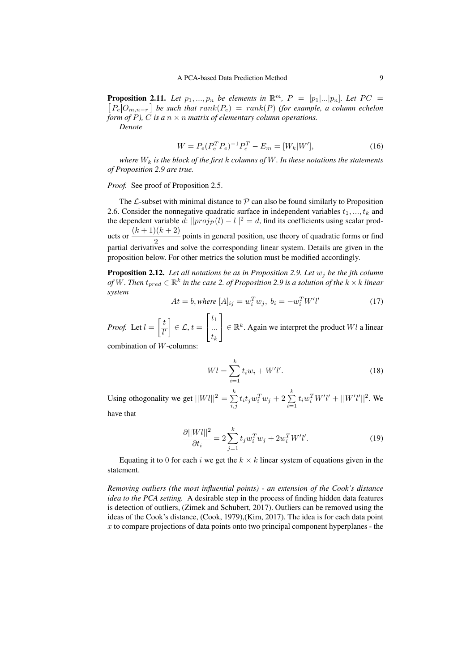**Proposition 2.11.** Let  $p_1, ..., p_n$  be elements in  $\mathbb{R}^m$ ,  $P = [p_1|...|p_n]$ . Let  $PC =$  $\left[ P_e | O_{m,n-r} \right]$  be such that  $rank(P_e) = rank(P)$  (for example, a column echelon *form of P*),  $\overrightarrow{C}$  *is a*  $n \times n$  *matrix of elementary column operations. Denote*

 $W = P_e (P_e^T P_e)^{-1} P_e^T - E_m = [W_k] W^{\prime}$ 

*where* W<sup>k</sup> *is the block of the first* k *columns of* W*. In these notations the statements of Proposition 2.9 are true.*

*Proof.* See proof of Proposition 2.5.

The  $\mathcal L$ -subset with minimal distance to  $\mathcal P$  can also be found similarly to Proposition 2.6. Consider the nonnegative quadratic surface in independent variables  $t_1, ..., t_k$  and the dependent variable  $\tilde{d}$ :  $||proj_{\mathcal{P}}(l) - l||^2 = d$ , find its coefficients using scalar products or  $\frac{(k+1)(k+2)}{2}$  $\frac{2}{2}$  points in general position, use theory of quadratic forms or find partial derivatives and solve the corresponding linear system. Details are given in the proposition below. For other metrics the solution must be modified accordingly.

**Proposition 2.12.** Let all notations be as in Proposition 2.9. Let  $w_j$  be the jth column of  $\bar{W}$ . Then  $t_{pred} \in \mathbb{R}^k$  in the case 2. of Proposition 2.9 is a solution of the  $k \times k$  linear *system*

$$
At = b, where [A]_{ij} = w_i^T w_j, \ b_i = -w_i^T W' l'
$$
 (17)

*Proof.* Let  $l = \left\lceil \frac{t}{l} \right\rceil$  $\overline{l'}$  $\left[\right] \in \mathcal{L}, t =$  $\lceil$  $\overline{\phantom{a}}$  $t_1$ ...  $t_k$ 1  $\Big\vert \in \mathbb{R}^k$ . Again we interpret the product Wl a linear combination of W-columns:

$$
Wl = \sum_{i=1}^{k} t_i w_i + W'l'. \tag{18}
$$

Using othogonality we get  $||Wl||^2 = \sum_{k=1}^{k=1}$  $\sum\limits_{i,j}^k t_i t_j w_i^Tw_j + 2\sum\limits_{i=1}^k$  $\sum_{i=1} t_i w_i^T W' l' + ||W'l'||^2$ . We

have that

$$
\frac{\partial ||Wl||^2}{\partial t_i} = 2 \sum_{j=1}^k t_j w_i^T w_j + 2 w_i^T W'l'.
$$
 (19)

Equating it to 0 for each i we get the  $k \times k$  linear system of equations given in the statement.

*Removing outliers (the most influential points) - an extension of the Cook's distance idea to the PCA setting.* A desirable step in the process of finding hidden data features is detection of outliers, (Zimek and Schubert, 2017). Outliers can be removed using the ideas of the Cook's distance, (Cook, 1979),(Kim, 2017). The idea is for each data point  $x$  to compare projections of data points onto two principal component hyperplanes - the

 $(16)$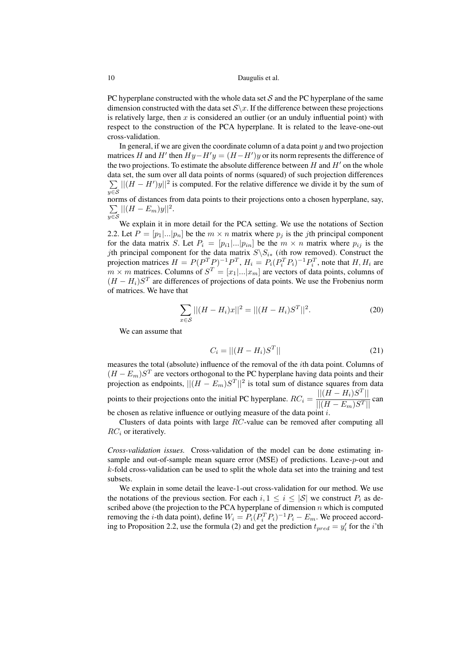PC hyperplane constructed with the whole data set  $S$  and the PC hyperplane of the same dimension constructed with the data set  $S\$  x. If the difference between these projections is relatively large, then  $x$  is considered an outlier (or an unduly influential point) with respect to the construction of the PCA hyperplane. It is related to the leave-one-out cross-validation.

In general, if we are given the coordinate column of a data point  $y$  and two projection matrices H and H' then  $Hy - H'y = (H - H')y$  or its norm represents the difference of the two projections. To estimate the absolute difference between  $H$  and  $H'$  on the whole data set, the sum over all data points of norms (squared) of such projection differences  $\sum ||(H - H')y||^2$  is computed. For the relative difference we divide it by the sum of  $y\equiv$ norms of distances from data points to their projections onto a chosen hyperplane, say,

$$
\sum_{y \in \mathcal{S}} ||(H - E_m)y||^2.
$$

We explain it in more detail for the PCA setting. We use the notations of Section 2.2. Let  $P = [p_1|...|p_n]$  be the  $m \times n$  matrix where  $p_i$  is the jth principal component for the data matrix S. Let  $P_i = [p_{i1}|...|p_{in}]$  be the  $m \times n$  matrix where  $p_{ii}$  is the jth principal component for the data matrix  $S\backslash S_{i*}$  (ith row removed). Construct the projection matrices  $H = P(P^T P)^{-1} P^T$ ,  $H_i = P_i (P_i^T P_i)^{-1} P_i^T$ , note that  $H, H_i$  are  $m \times m$  matrices. Columns of  $S<sup>T</sup> = [x_1 | ... | x_m]$  are vectors of data points, columns of  $(H - H_i)S<sup>T</sup>$  are differences of projections of data points. We use the Frobenius norm of matrices. We have that

$$
\sum_{x \in S} || (H - H_i)x||^2 = || (H - H_i)S^T ||^2.
$$
 (20)

We can assume that

$$
C_i = || (H - H_i)S^T ||
$$
\n(21)

measures the total (absolute) influence of the removal of the ith data point. Columns of  $(H - E_m)S^T$  are vectors orthogonal to the PC hyperplane having data points and their projection as endpoints,  $||(H - E_m)S^T||^2$  is total sum of distance squares from data points to their projections onto the initial PC hyperplane.  $RC_i = \frac{||(H - H_i)S^T||}{||(H - E_m)S^T||}$  can be chosen as relative influence or outlying measure of the data point  $i$ .

Clusters of data points with large RC-value can be removed after computing all  $RC<sub>i</sub>$  or iteratively.

*Cross-validation issues.* Cross-validation of the model can be done estimating insample and out-of-sample mean square error (MSE) of predictions. Leave-p-out and  $k$ -fold cross-validation can be used to split the whole data set into the training and test subsets.

We explain in some detail the leave-1-out cross-validation for our method. We use the notations of the previous section. For each  $i, 1 \le i \le |\mathcal{S}|$  we construct  $P_i$  as described above (the projection to the PCA hyperplane of dimension  $n$  which is computed removing the *i*-th data point), define  $W_i = P_i (P_i^T P_i)^{-1} P_i - E_m$ . We proceed according to Proposition 2.2, use the formula (2) and get the prediction  $t_{pred} = y_i'$  for the *i*'th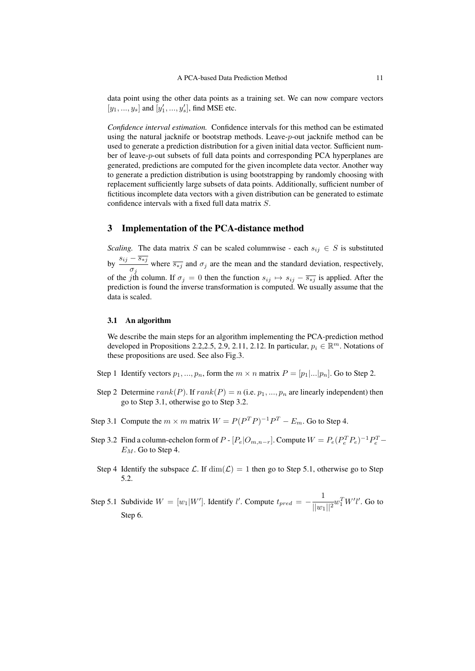data point using the other data points as a training set. We can now compare vectors  $[y_1, ..., y_s]$  and  $[y'_1, ..., y'_s]$  , find MSE etc.

*Confidence interval estimation.* Confidence intervals for this method can be estimated using the natural jacknife or bootstrap methods. Leave-p-out jacknife method can be used to generate a prediction distribution for a given initial data vector. Sufficient number of leave-p-out subsets of full data points and corresponding PCA hyperplanes are generated, predictions are computed for the given incomplete data vector. Another way to generate a prediction distribution is using bootstrapping by randomly choosing with replacement sufficiently large subsets of data points. Additionally, sufficient number of fictitious incomplete data vectors with a given distribution can be generated to estimate confidence intervals with a fixed full data matrix S.

# 3 Implementation of the PCA-distance method

*Scaling.* The data matrix S can be scaled columnwise - each  $s_{ij} \in S$  is substituted by  $\frac{s_{ij} - \overline{s_{*j}}}{s_{ij}}$ where  $\frac{\sigma_{*j}}{\sigma_j}$  where  $\frac{\sigma_j}{\sigma_j}$  and  $\sigma_j$  are the mean and the standard deviation, respectively, of the jth column. If  $\sigma_j = 0$  then the function  $s_{ij} \mapsto s_{ij} - \overline{s_{*j}}$  is applied. After the prediction is found the inverse transformation is computed. We usually assume that the data is scaled.

### 3.1 An algorithm

We describe the main steps for an algorithm implementing the PCA-prediction method developed in Propositions 2.2,2.5, 2.9, 2.11, 2.12. In particular,  $p_i \in \mathbb{R}^m$ . Notations of these propositions are used. See also Fig.3.

- Step 1 Identify vectors  $p_1, ..., p_n$ , form the  $m \times n$  matrix  $P = [p_1|...|p_n]$ . Go to Step 2.
- Step 2 Determine  $rank(P)$ . If  $rank(P) = n$  (i.e.  $p_1, ..., p_n$  are linearly independent) then go to Step 3.1, otherwise go to Step 3.2.
- Step 3.1 Compute the  $m \times m$  matrix  $W = P(P^T P)^{-1} P^T E_m$ . Go to Step 4.
- Step 3.2 Find a column-echelon form of  $P [P_e|O_{m,n-r}]$ . Compute  $W = P_e(P_e^T P_e)^{-1} P_e^T$  $E_M$ . Go to Step 4.
- Step 4 Identify the subspace L. If  $\dim(\mathcal{L}) = 1$  then go to Step 5.1, otherwise go to Step 5.2.
- Step 5.1 Subdivide  $W = [w_1|W']$ . Identify l'. Compute  $t_{pred} = -\frac{1}{1-w}$  $\frac{1}{||w_1||^2} w_1^T W' l'$ . Go to Step 6.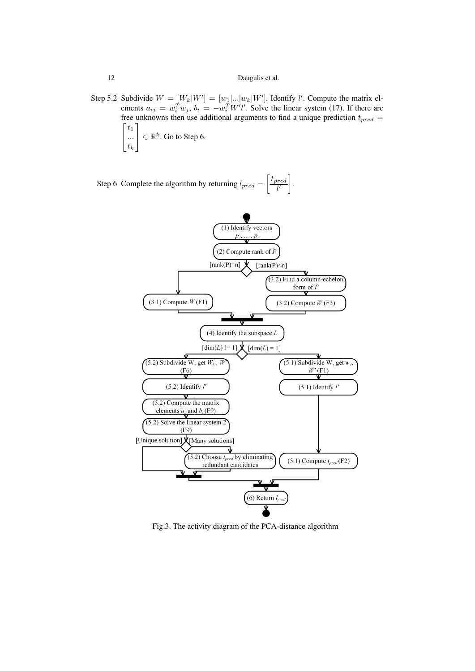Step 5.2 Subdivide  $W = [W_k|W'] = [w_1|...|w_k|W']$ . Identify l'. Compute the matrix elements  $a_{ij} = w_i^T w_j$ ,  $b_i = -w_i^T W' l'$ . Solve the linear system (17). If there are free unknowns then use additional arguments to find a unique prediction  $t_{pred}$  =  $\lceil$  $t_1$ 1

 $\overline{\phantom{a}}$ ...  $t_k$  $\Big\} \in \mathbb{R}^k$ . Go to Step 6.

Step 6 Complete the algorithm by returning  $l_{pred} = \left[\frac{t_{pred}}{l}\right]$  $\overline{l}$ .



Fig.3. The activity diagram of the PCA-distance algorithm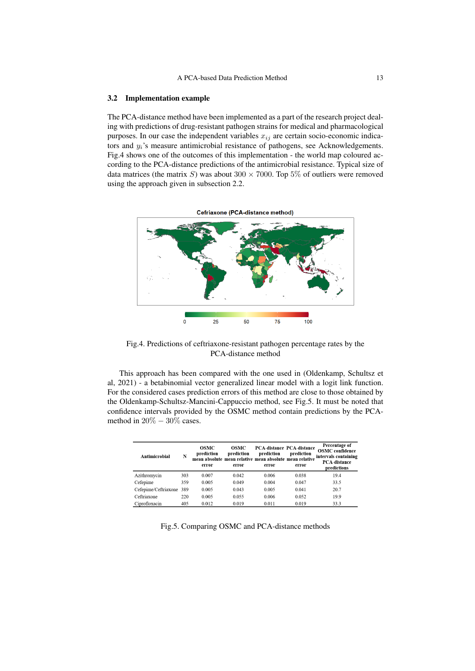#### 3.2 Implementation example

The PCA-distance method have been implemented as a part of the research project dealing with predictions of drug-resistant pathogen strains for medical and pharmacological purposes. In our case the independent variables  $x_{ij}$  are certain socio-economic indicators and  $y_i$ 's measure antimicrobial resistance of pathogens, see Acknowledgements. Fig.4 shows one of the outcomes of this implementation - the world map coloured according to the PCA-distance predictions of the antimicrobial resistance. Typical size of data matrices (the matrix S) was about  $300 \times 7000$ . Top 5% of outliers were removed using the approach given in subsection 2.2.



Fig.4. Predictions of ceftriaxone-resistant pathogen percentage rates by the PCA-distance method

This approach has been compared with the one used in (Oldenkamp, Schultsz et al, 2021) - a betabinomial vector generalized linear model with a logit link function. For the considered cases prediction errors of this method are close to those obtained by the Oldenkamp-Schultsz-Mancini-Cappuccio method, see Fig.5. It must be noted that confidence intervals provided by the OSMC method contain predictions by the PCAmethod in  $20\% - 30\%$  cases.

| Antimicrobial            | N   | OSMC<br>prediction<br>error | OSMC<br>prediction<br>error | prediction<br>mean absolute mean relative mean absolute mean relative<br>error | <b>PCA-distance PCA-distance</b><br>prediction<br>error | Percentage of<br><b>OSMC</b> confidence<br>intervals containing<br><b>PCA-distance</b><br>predictions |
|--------------------------|-----|-----------------------------|-----------------------------|--------------------------------------------------------------------------------|---------------------------------------------------------|-------------------------------------------------------------------------------------------------------|
| Azithromycin             | 303 | 0.007                       | 0.042                       | 0.006                                                                          | 0.038                                                   | 19.4                                                                                                  |
| Cefepime                 | 359 | 0.005                       | 0.049                       | 0.004                                                                          | 0.047                                                   | 33.5                                                                                                  |
| Cefepime/Ceftriaxone 389 |     | 0.005                       | 0.043                       | 0.005                                                                          | 0.041                                                   | 20.7                                                                                                  |
| Ceftriaxone              | 220 | 0.005                       | 0.055                       | 0.006                                                                          | 0.052                                                   | 19.9                                                                                                  |
| Ciprofloxacin            | 405 | 0.012                       | 0.019                       | 0.011                                                                          | 0.019                                                   | 33.3                                                                                                  |

Fig.5. Comparing OSMC and PCA-distance methods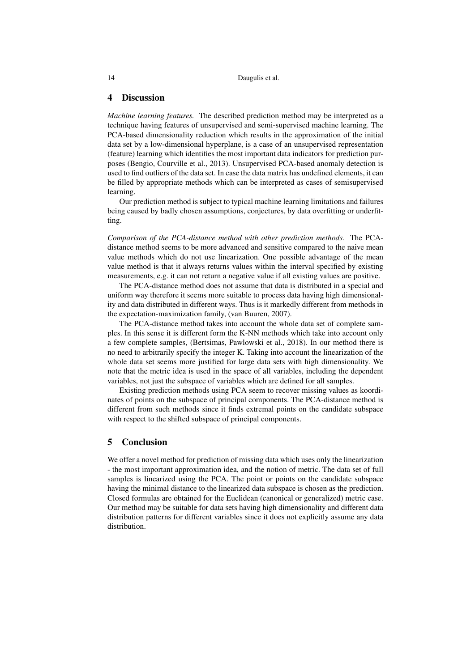| 14 | Daugulis et al. |
|----|-----------------|
|----|-----------------|

#### 4 Discussion

*Machine learning features.* The described prediction method may be interpreted as a technique having features of unsupervised and semi-supervised machine learning. The PCA-based dimensionality reduction which results in the approximation of the initial data set by a low-dimensional hyperplane, is a case of an unsupervised representation (feature) learning which identifies the most important data indicators for prediction purposes (Bengio, Courville et al., 2013). Unsupervised PCA-based anomaly detection is used to find outliers of the data set. In case the data matrix has undefined elements, it can be filled by appropriate methods which can be interpreted as cases of semisupervised learning.

Our prediction method is subject to typical machine learning limitations and failures being caused by badly chosen assumptions, conjectures, by data overfitting or underfitting.

*Comparison of the PCA-distance method with other prediction methods.* The PCAdistance method seems to be more advanced and sensitive compared to the naive mean value methods which do not use linearization. One possible advantage of the mean value method is that it always returns values within the interval specified by existing measurements, e.g. it can not return a negative value if all existing values are positive.

The PCA-distance method does not assume that data is distributed in a special and uniform way therefore it seems more suitable to process data having high dimensionality and data distributed in different ways. Thus is it markedly different from methods in the expectation-maximization family, (van Buuren, 2007).

The PCA-distance method takes into account the whole data set of complete samples. In this sense it is different form the K-NN methods which take into account only a few complete samples, (Bertsimas, Pawlowski et al., 2018). In our method there is no need to arbitrarily specify the integer K. Taking into account the linearization of the whole data set seems more justified for large data sets with high dimensionality. We note that the metric idea is used in the space of all variables, including the dependent variables, not just the subspace of variables which are defined for all samples.

Existing prediction methods using PCA seem to recover missing values as koordinates of points on the subspace of principal components. The PCA-distance method is different from such methods since it finds extremal points on the candidate subspace with respect to the shifted subspace of principal components.

# 5 Conclusion

We offer a novel method for prediction of missing data which uses only the linearization - the most important approximation idea, and the notion of metric. The data set of full samples is linearized using the PCA. The point or points on the candidate subspace having the minimal distance to the linearized data subspace is chosen as the prediction. Closed formulas are obtained for the Euclidean (canonical or generalized) metric case. Our method may be suitable for data sets having high dimensionality and different data distribution patterns for different variables since it does not explicitly assume any data distribution.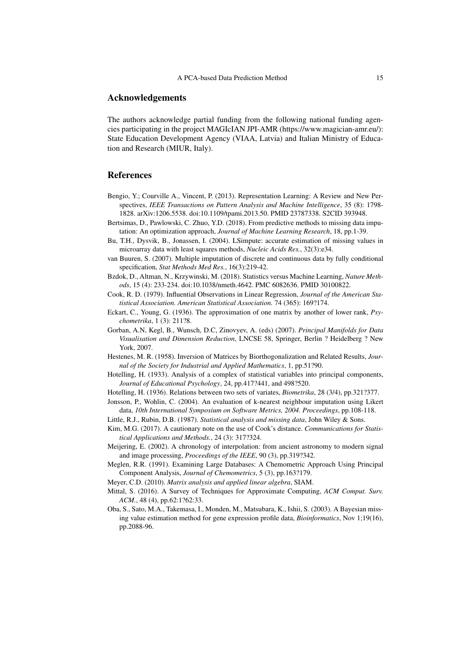## Acknowledgements

The authors acknowledge partial funding from the following national funding agencies participating in the project MAGIcIAN JPI-AMR (https://www.magician-amr.eu/): State Education Development Agency (VIAA, Latvia) and Italian Ministry of Education and Research (MIUR, Italy).

# References

- Bengio, Y.; Courville A., Vincent, P. (2013). Representation Learning: A Review and New Perspectives, *IEEE Transactions on Pattern Analysis and Machine Intelligence*, 35 (8): 1798- 1828. arXiv:1206.5538. doi:10.1109/tpami.2013.50. PMID 23787338. S2CID 393948.
- Bertsimas, D., Pawlowski, C. Zhuo, Y.D. (2018). From predictive methods to missing data imputation: An optimization approach, *Journal of Machine Learning Research*, 18, pp.1-39.
- Bu, T.H., Dysvik, B., Jonassen, I. (2004). LSimpute: accurate estimation of missing values in microarray data with least squares methods, *Nucleic Acids Res.*, 32(3):e34.
- van Buuren, S. (2007). Multiple imputation of discrete and continuous data by fully conditional specification, *Stat Methods Med Res.*, 16(3):219-42.
- Bzdok, D., Altman, N., Krzywinski, M. (2018). Statistics versus Machine Learning, *Nature Methods*, 15 (4): 233-234. doi:10.1038/nmeth.4642. PMC 6082636. PMID 30100822.
- Cook, R. D. (1979). Influential Observations in Linear Regression, *Journal of the American Statistical Association. American Statistical Association.* 74 (365): 169?174.
- Eckart, C., Young, G. (1936). The approximation of one matrix by another of lower rank, *Psychometrika*, 1 (3): 211?8.
- Gorban, A.N, Kegl, B., Wunsch, D.C, Zinovyev, A. (eds) (2007). *Principal Manifolds for Data Visualisation and Dimension Reduction*, LNCSE 58, Springer, Berlin ? Heidelberg ? New York, 2007.
- Hestenes, M. R. (1958). Inversion of Matrices by Biorthogonalization and Related Results, *Journal of the Society for Industrial and Applied Mathematics*, 1, pp.51?90.
- Hotelling, H. (1933). Analysis of a complex of statistical variables into principal components, *Journal of Educational Psychology*, 24, pp.417?441, and 498?520.
- Hotelling, H. (1936). Relations between two sets of variates, *Biometrika*, 28 (3/4), pp.321?377.
- Jonsson, P., Wohlin, C. (2004). An evaluation of k-nearest neighbour imputation using Likert data, *10th International Symposium on Software Metrics, 2004. Proceedings*, pp.108-118.
- Little, R.J., Rubin, D.B. (1987). *Statistical analysis and missing data*, John Wiley & Sons.
- Kim, M.G. (2017). A cautionary note on the use of Cook's distance. *Communications for Statistical Applications and Methods.*, 24 (3): 317?324.
- Meijering, E. (2002). A chronology of interpolation: from ancient astronomy to modern signal and image processing, *Proceedings of the IEEE*, 90 (3), pp.319?342.
- Meglen, R.R. (1991). Examining Large Databases: A Chemometric Approach Using Principal Component Analysis, *Journal of Chemometrics*, 5 (3), pp.163?179.
- Meyer, C.D. (2010). *Matrix analysis and applied linear algebra*, SIAM.
- Mittal, S. (2016). A Survey of Techniques for Approximate Computing, *ACM Comput. Surv. ACM.*, 48 (4), pp.62:1?62:33.
- Oba, S., Sato, M.A., Takemasa, I., Monden, M., Matsubara, K., Ishii, S. (2003). A Bayesian missing value estimation method for gene expression profile data, *Bioinformatics*, Nov 1;19(16), pp.2088-96.